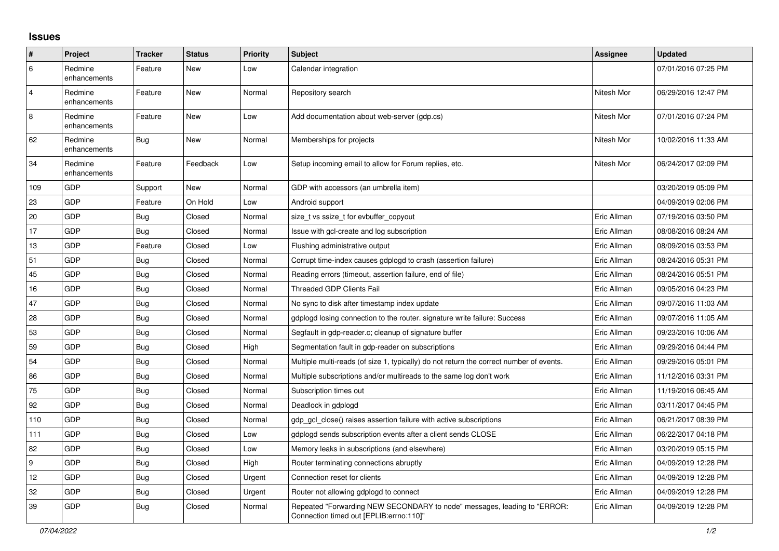## **Issues**

| $\sharp$       | Project                 | <b>Tracker</b> | <b>Status</b> | <b>Priority</b> | <b>Subject</b>                                                                                                      | Assignee    | <b>Updated</b>      |
|----------------|-------------------------|----------------|---------------|-----------------|---------------------------------------------------------------------------------------------------------------------|-------------|---------------------|
| $\,6\,$        | Redmine<br>enhancements | Feature        | New           | Low             | Calendar integration                                                                                                |             | 07/01/2016 07:25 PM |
| $\overline{4}$ | Redmine<br>enhancements | Feature        | New           | Normal          | Repository search                                                                                                   | Nitesh Mor  | 06/29/2016 12:47 PM |
| 8              | Redmine<br>enhancements | Feature        | New           | Low             | Add documentation about web-server (gdp.cs)                                                                         | Nitesh Mor  | 07/01/2016 07:24 PM |
| 62             | Redmine<br>enhancements | <b>Bug</b>     | New           | Normal          | Memberships for projects                                                                                            | Nitesh Mor  | 10/02/2016 11:33 AM |
| 34             | Redmine<br>enhancements | Feature        | Feedback      | Low             | Setup incoming email to allow for Forum replies, etc.                                                               | Nitesh Mor  | 06/24/2017 02:09 PM |
| 109            | GDP                     | Support        | New           | Normal          | GDP with accessors (an umbrella item)                                                                               |             | 03/20/2019 05:09 PM |
| 23             | GDP                     | Feature        | On Hold       | Low             | Android support                                                                                                     |             | 04/09/2019 02:06 PM |
| 20             | GDP                     | Bug            | Closed        | Normal          | size t vs ssize t for evbuffer copyout                                                                              | Eric Allman | 07/19/2016 03:50 PM |
| 17             | GDP                     | Bug            | Closed        | Normal          | Issue with gcl-create and log subscription                                                                          | Eric Allman | 08/08/2016 08:24 AM |
| 13             | GDP                     | Feature        | Closed        | Low             | Flushing administrative output                                                                                      | Eric Allman | 08/09/2016 03:53 PM |
| 51             | GDP                     | Bug            | Closed        | Normal          | Corrupt time-index causes gdplogd to crash (assertion failure)                                                      | Eric Allman | 08/24/2016 05:31 PM |
| 45             | GDP                     | <b>Bug</b>     | Closed        | Normal          | Reading errors (timeout, assertion failure, end of file)                                                            | Eric Allman | 08/24/2016 05:51 PM |
| 16             | GDP                     | <b>Bug</b>     | Closed        | Normal          | <b>Threaded GDP Clients Fail</b>                                                                                    | Eric Allman | 09/05/2016 04:23 PM |
| 47             | GDP                     | <b>Bug</b>     | Closed        | Normal          | No sync to disk after timestamp index update                                                                        | Eric Allman | 09/07/2016 11:03 AM |
| 28             | GDP                     | Bug            | Closed        | Normal          | gdplogd losing connection to the router, signature write failure: Success                                           | Eric Allman | 09/07/2016 11:05 AM |
| 53             | GDP                     | Bug            | Closed        | Normal          | Segfault in gdp-reader.c; cleanup of signature buffer                                                               | Eric Allman | 09/23/2016 10:06 AM |
| 59             | <b>GDP</b>              | <b>Bug</b>     | Closed        | High            | Segmentation fault in gdp-reader on subscriptions                                                                   | Eric Allman | 09/29/2016 04:44 PM |
| 54             | GDP                     | Bug            | Closed        | Normal          | Multiple multi-reads (of size 1, typically) do not return the correct number of events.                             | Eric Allman | 09/29/2016 05:01 PM |
| 86             | GDP                     | <b>Bug</b>     | Closed        | Normal          | Multiple subscriptions and/or multireads to the same log don't work                                                 | Eric Allman | 11/12/2016 03:31 PM |
| 75             | GDP                     | <b>Bug</b>     | Closed        | Normal          | Subscription times out                                                                                              | Eric Allman | 11/19/2016 06:45 AM |
| 92             | GDP                     | Bug            | Closed        | Normal          | Deadlock in gdplogd                                                                                                 | Eric Allman | 03/11/2017 04:45 PM |
| 110            | GDP                     | <b>Bug</b>     | Closed        | Normal          | gdp gcl close() raises assertion failure with active subscriptions                                                  | Eric Allman | 06/21/2017 08:39 PM |
| 111            | GDP                     | Bug            | Closed        | Low             | gdplogd sends subscription events after a client sends CLOSE                                                        | Eric Allman | 06/22/2017 04:18 PM |
| 82             | <b>GDP</b>              | Bug            | Closed        | Low             | Memory leaks in subscriptions (and elsewhere)                                                                       | Eric Allman | 03/20/2019 05:15 PM |
| 9              | GDP                     | Bug            | Closed        | High            | Router terminating connections abruptly                                                                             | Eric Allman | 04/09/2019 12:28 PM |
| 12             | GDP                     | <b>Bug</b>     | Closed        | Urgent          | Connection reset for clients                                                                                        | Eric Allman | 04/09/2019 12:28 PM |
| 32             | GDP                     | <b>Bug</b>     | Closed        | Urgent          | Router not allowing gdplogd to connect                                                                              | Eric Allman | 04/09/2019 12:28 PM |
| 39             | GDP                     | <b>Bug</b>     | Closed        | Normal          | Repeated "Forwarding NEW SECONDARY to node" messages, leading to "ERROR:<br>Connection timed out [EPLIB:errno:110]" | Eric Allman | 04/09/2019 12:28 PM |